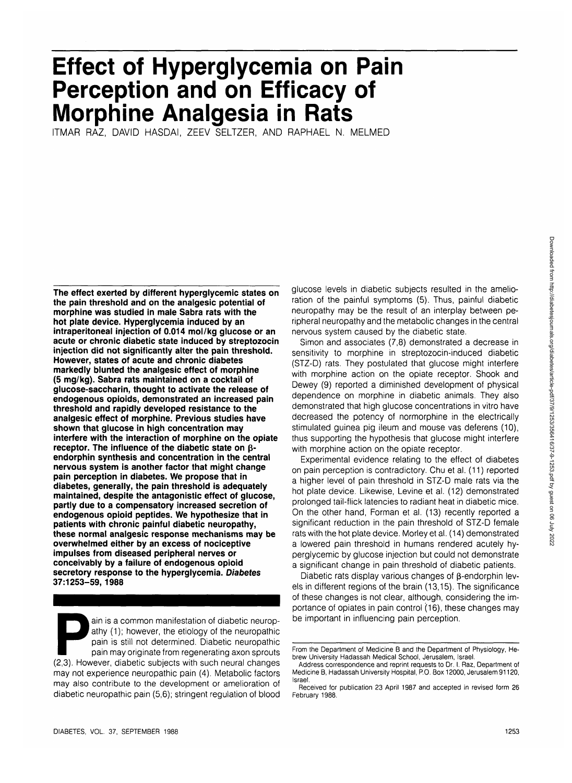# **Effect of Hyperglycemia on Pain Perception and on Efficacy of Morphine Analgesia in Rats**

ITMAR RAZ, DAVID HASDAI, ZEEV SELTZER, AND RAPHAEL N. MELMED

**The effect exerted by different hyperglycemic states on the pain threshold and on the analgesic potential of morphine was studied in male Sabra rats with the hot plate device. Hyperglycemia induced by an intraperitoneal injection of 0.014 mol/kg glucose or an acute or chronic diabetic state induced by streptozocin injection did not significantly alter the pain threshold. However, states of acute and chronic diabetes markedly blunted the analgesic effect of morphine (5 mg/kg). Sabra rats maintained on a cocktail of glucose-saccharin, thought to activate the release of endogenous opioids, demonstrated an increased pain threshold and rapidly developed resistance to the analgesic effect of morphine. Previous studies have shown that glucose in high concentration may interfere with the interaction of morphine on the opiate receptor. The influence of the diabetic state on (5 endorphin synthesis and concentration in the central nervous system is another factor that might change pain perception in diabetes. We propose that in diabetes, generally, the pain threshold is adequately maintained, despite the antagonistic effect of glucose, partly due to a compensatory increased secretion of endogenous opioid peptides. We hypothesize that in patients with chronic painful diabetic neuropathy, these normal analgesic response mechanisms may be overwhelmed either by an excess of nociceptive impulses from diseased peripheral nerves or conceivably by a failure of endogenous opioid secretory response to the hyperglycemia. Diabetes 37:1253-59, 1988**

ain is a common manifestation of diabetic neurop-<br>
athy (1); however, the etiology of the neuropathic<br>
pain is still not determined. Diabetic neuropathic<br>
pain may originate from regenerating axon sprouts<br>
(2,3). However, athy (1); however, the etiology of the neuropathic pain is still not determined. Diabetic neuropathic pain may originate from regenerating axon sprouts may not experience neuropathic pain (4). Metabolic factors may also contribute to the development or amelioration of diabetic neuropathic pain (5,6); stringent regulation of blood

glucose levels in diabetic subjects resulted in the amelioration of the painful symptoms (5). Thus, painful diabetic neuropathy may be the result of an interplay between peripheral neuropathy and the metabolic changes in the central nervous system caused by the diabetic state.

Simon and associates (7,8) demonstrated a decrease in sensitivity to morphine in streptozocin-induced diabetic (STZ-D) rats. They postulated that glucose might interfere with morphine action on the opiate receptor. Shook and Dewey (9) reported a diminished development of physical dependence on morphine in diabetic animals. They also demonstrated that high glucose concentrations in vitro have decreased the potency of normorphine in the electrically stimulated guinea pig ileum and mouse vas deferens (10), thus supporting the hypothesis that glucose might interfere with morphine action on the opiate receptor.

Experimental evidence relating to the effect of diabetes on pain perception is contradictory. Chu et al. (11) reported a higher level of pain threshold in STZ-D male rats via the hot plate device. Likewise, Levine et al. (12) demonstrated prolonged tail-flick latencies to radiant heat in diabetic mice. On the other hand, Forman et al. (13) recently reported a significant reduction in the pain threshold of STZ-D female rats with the hot plate device. Morley et al. (14) demonstrated a lowered pain threshold in humans rendered acutely hyperglycemic by glucose injection but could not demonstrate a significant change in pain threshold of diabetic patients.

Diabetic rats display various changes of  $\beta$ -endorphin levels in different regions of the brain (13,15). The significance of these changes is not clear, although, considering the importance of opiates in pain control (16), these changes may be important in influencing pain perception.

From the Department of Medicine B and the Department of Physiology, Hebrew University Hadassah Medical School, Jerusalem, Israel.

Address correspondence and reprint requests to Dr. I. Raz, Department of Medicine B, Hadassah University Hospital, P.O. Box 12000, Jerusalem 91120, Israel.

Received for publication 23 April 1987 and accepted in revised form 26 February 1988.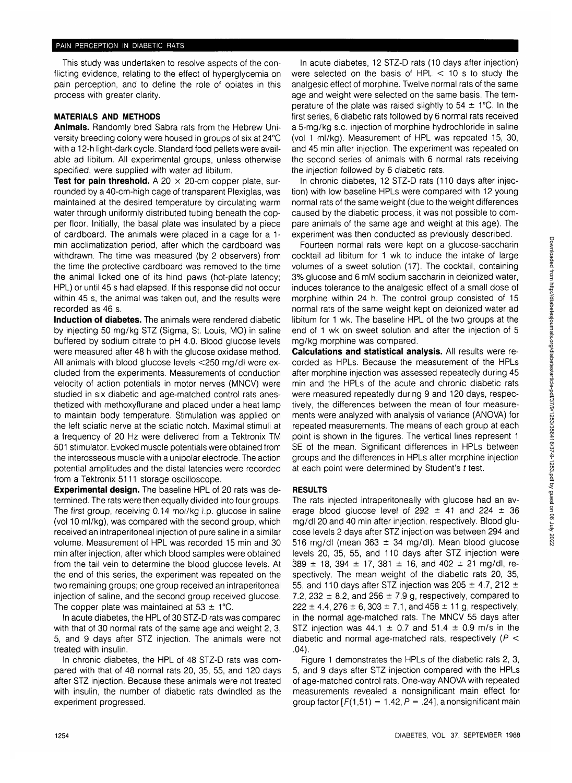This study was undertaken to resolve aspects of the conflicting evidence, relating to the effect of hyperglycemia on pain perception, and to define the role of opiates in this process with greater clarity.

## **MATERIALS AND METHODS**

**Animals.** Randomly bred Sabra rats from the Hebrew University breeding colony were housed in groups of six at 24°C with a 12-h light-dark cycle. Standard food pellets were available ad libitum. All experimental groups, unless otherwise specified, were supplied with water ad libitum.

**Test for pain threshold.** A 20  $\times$  20-cm copper plate, surrounded by a 40-cm-high cage of transparent Plexiglas, was maintained at the desired temperature by circulating warm water through uniformly distributed tubing beneath the copper floor. Initially, the basal plate was insulated by a piece of cardboard. The animals were placed in a cage for a 1 min acclimatization period, after which the cardboard was withdrawn. The time was measured (by 2 observers) from the time the protective cardboard was removed to the time the animal licked one of its hind paws (hot-plate latency; HPL) or until 45 s had elapsed. If this response did not occur within 45 s, the animal was taken out, and the results were recorded as 46 s.

**Induction of diabetes.** The animals were rendered diabetic by injecting 50 mg/kg STZ (Sigma, St. Louis, MO) in saline buffered by sodium citrate to pH 4.0. Blood glucose levels were measured after 48 h with the glucose oxidase method. All animals with blood glucose levels <250 mg/dl were excluded from the experiments. Measurements of conduction velocity of action potentials in motor nerves (MNCV) were studied in six diabetic and age-matched control rats anesthetized with methoxyflurane and placed under a heat lamp to maintain body temperature. Stimulation was applied on the left sciatic nerve at the sciatic notch. Maximal stimuli at a frequency of 20 Hz were delivered from a Tektronix TM 501 stimulator. Evoked muscle potentials were obtained from the interosseous muscle with a unipolar electrode. The action potential amplitudes and the distal latencies were recorded from a Tektronix 5111 storage oscilloscope.

**Experimental design.** The baseline HPL of 20 rats was determined. The rats were then equally divided into four groups. The first group, receiving 0.14 mol/kg i.p. glucose in saline (vol 10 ml/kg), was compared with the second group, which received an intraperitoneal injection of pure saline in a similar volume. Measurement of HPL was recorded 15 min and 30 min after injection, after which blood samples were obtained from the tail vein to determine the blood glucose levels. At the end of this series, the experiment was repeated on the two remaining groups; one group received an intraperitoneal injection of saline, and the second group received glucose. The copper plate was maintained at  $53 \pm 1^{\circ}$ C.

In acute diabetes, the HPL of 30 STZ-D rats was compared with that of 30 normal rats of the same age and weight 2, 3, 5, and 9 days after STZ injection. The animals were not treated with insulin.

In chronic diabetes, the HPL of 48 STZ-D rats was compared with that of 48 normal rats 20, 35, 55, and 120 days after STZ injection. Because these animals were not treated with insulin, the number of diabetic rats dwindled as the experiment progressed.

In acute diabetes, 12 STZ-D rats (10 days after injection) were selected on the basis of  $HPL < 10$  s to study the analgesic effect of morphine. Twelve normal rats of the same age and weight were selected on the same basis. The temperature of the plate was raised slightly to  $54 \pm 1^{\circ}$ C. In the first series, 6 diabetic rats followed by 6 normal rats received a 5-mg/kg s.c. injection of morphine hydrochloride in saline (vol 1 ml/kg). Measurement of HPL was repeated 15, 30, and 45 min after injection. The experiment was repeated on the second series of animals with 6 normal rats receiving the injection followed by 6 diabetic rats.

In chronic diabetes, 12 STZ-D rats (110 days after injection) with low baseline HPLs were compared with 12 young normal rats of the same weight (due to the weight differences caused by the diabetic process, it was not possible to compare animals of the same age and weight at this age). The experiment was then conducted as previously described.

Fourteen normal rats were kept on a glucose-saccharin cocktail ad libitum for 1 wk to induce the intake of large volumes of a sweet solution (17). The cocktail, containing 3% glucose and 6 mM sodium saccharin in deionized water, induces tolerance to the analgesic effect of a small dose of morphine within 24 h. The control group consisted of 15 normal rats of the same weight kept on deionized water ad libitum for 1 wk. The baseline HPL of the two groups at the end of 1 wk on sweet solution and after the injection of 5 mg/kg morphine was compared.

**Calculations and statistical analysis.** All results were recorded as HPLs. Because the measurement of the HPLs after morphine injection was assessed repeatedly during 45 min and the HPLs of the acute and chronic diabetic rats were measured repeatedly during 9 and 120 days, respectively, the differences between the mean of four measurements were analyzed with analysis of variance (ANOVA) for repeated measurements. The means of each group at each point is shown in the figures. The vertical lines represent 1 SE of the mean. Significant differences in HPLs between groups and the differences in HPLs after morphine injection at each point were determined by Student's  $t$  test.

## **RESULTS**

The rats injected intraperitoneally with glucose had an average blood glucose level of  $292 \pm 41$  and  $224 \pm 36$ mg/dl 20 and 40 min after injection, respectively. Blood glucose levels 2 days after STZ injection was between 294 and 516 mg/dl (mean 363  $\pm$  34 mg/dl). Mean blood glucose levels 20, 35, 55, and 110 days after STZ injection were  $389 \pm 18$ ,  $394 \pm 17$ ,  $381 \pm 16$ , and  $402 \pm 21$  mg/dl, respectively. The mean weight of the diabetic rats 20, 35, 55, and 110 days after STZ injection was 205  $\pm$  4.7, 212  $\pm$ 7.2, 232  $\pm$  8.2, and 256  $\pm$  7.9 g, respectively, compared to  $222 \pm 4.4$ , 276  $\pm 6$ , 303  $\pm 7.1$ , and 458  $\pm 11$  g, respectively, in the normal age-matched rats. The MNCV 55 days after STZ injection was  $44.1 \pm 0.7$  and  $51.4 \pm 0.9$  m/s in the diabetic and normal age-matched rats, respectively ( $P <$ .04).

Figure 1 demonstrates the HPLs of the diabetic rats 2, 3, 5, and 9 days after STZ injection compared with the HPLs of age-matched control rats. One-way ANOVA with repeated measurements revealed a nonsignificant main effect for group factor  $[F(1,51) = 1.42, P = .24]$ , a nonsignificant main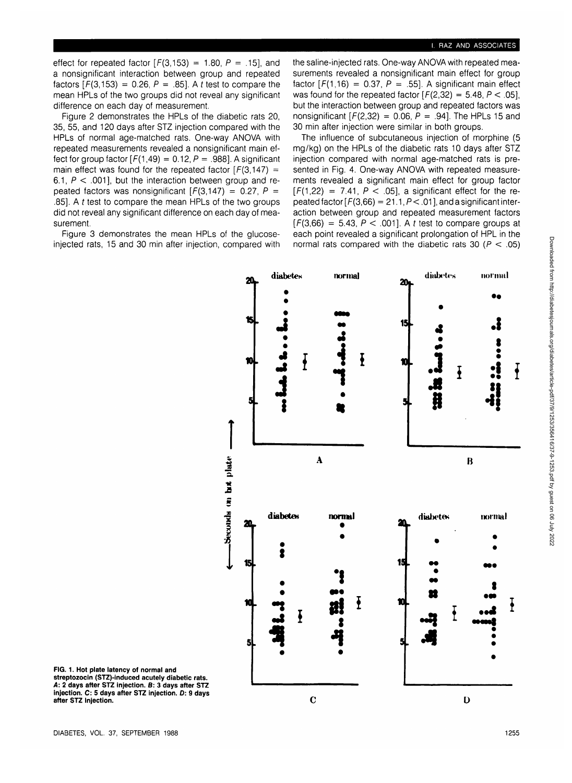effect for repeated factor  $[F(3,153) = 1.80, P = .15]$ , and a nonsignificant interaction between group and repeated factors  $[F(3,153) = 0.26, P = .85]$ . A t test to compare the mean HPLs of the two groups did not reveal any significant difference on each day of measurement.

Figure 2 demonstrates the HPLs of the diabetic rats 20, 35, 55, and 120 days after STZ injection compared with the HPLs of normal age-matched rats. One-way ANOVA with repeated measurements revealed a nonsignificant main effect for group factor  $[F(1,49) = 0.12, P = .988]$ . A significant main effect was found for the repeated factor  $[F(3,147) =$ 6.1,  $P < .001$ ], but the interaction between group and repeated factors was nonsignificant  $[F(3,147) = 0.27, P =$ .85]. A t test to compare the mean HPLs of the two groups did not reveal any significant difference on each day of measurement.

Figure 3 demonstrates the mean HPLs of the glucoseinjected rats, 15 and 30 min after injection, compared with the saline-injected rats. One-way ANOVA with repeated measurements revealed a nonsignificant main effect for group factor  $[F(1,16) = 0.37, P = .55]$ . A significant main effect was found for the repeated factor  $[F(2,32) = 5.48, P < .05]$ , but the interaction between group and repeated factors was nonsignificant  $[F(2,32) = 0.06, P = .94]$ . The HPLs 15 and 30 min after injection were similar in both groups.

The influence of subcutaneous injection of morphine (5 mg/kg) on the HPLs of the diabetic rats 10 days after STZ injection compared with normal age-matched rats is presented in Fig. 4. One-way ANOVA with repeated measurements revealed a significant main effect for group factor  $[F(1,22) = 7.41, P < .05]$ , a significant effect for the repeated factor  $[F(3,66) = 21.1, P < .01]$ , and a significant interaction between group and repeated measurement factors  $[F(3,66) = 5.43, P < .001]$ . A t test to compare groups at each point revealed a significant prolongation of HPL in the normal rats compared with the diabetic rats 30 ( $P < .05$ )



**FIG. 1**. **Hot plate latency of normal and streptozocin (STZ)-induced acutely diabetic rats. A: 2 days after STZ injection. B: 3 days after STZ injection. C: 5 days after STZ injection. O: 9 days after STZ injection.**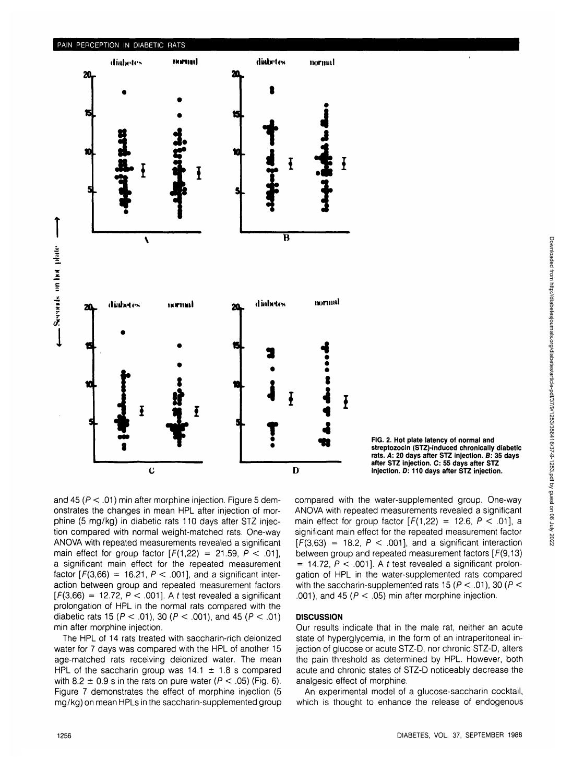

**FIG. 2. Hot plate latency of normal and streptozocin (STZ)-induced chronically diabetic rats. A: 20 days after STZ injection. B: 35 days after STZ injection. C: 55 days after STZ injection. D: 110 days after STZ injection.**

and 45 ( $P < .01$ ) min after morphine injection. Figure 5 demonstrates the changes in mean HPL after injection of morphine (5 mg/kg) in diabetic rats 110 days after STZ injection compared with normal weight-matched rats. One-way ANOVA with repeated measurements revealed a significant main effect for group factor  $[F(1,22) = 21.59, P < .01]$ , a significant main effect for the repeated measurement factor  $[F(3,66) = 16.21, P < .001]$ , and a significant interaction between group and repeated measurement factors  $[F(3,66) = 12.72, P < .001]$ . A t test revealed a significant prolongation of HPL in the normal rats compared with the diabetic rats 15 ( $P < .01$ ), 30 ( $P < .001$ ), and 45 ( $P < .01$ ) min after morphine injection.

The HPL of 14 rats treated with saccharin-rich deionized water for 7 days was compared with the HPL of another 15 age-matched rats receiving deionized water. The mean HPL of the saccharin group was  $14.1 \pm 1.8$  s compared with 8.2  $\pm$  0.9 s in the rats on pure water ( $P < .05$ ) (Fig. 6). Figure 7 demonstrates the effect of morphine injection (5 mg/kg) on mean HPLs in the saccharin-supplemented group compared with the water-supplemented group. One-way ANOVA with repeated measurements revealed a significant main effect for group factor  $[F(1,22) = 12.6, P < .01]$ , a significant main effect for the repeated measurement factor  $[F(3,63) = 18.2, P < .001]$ , and a significant interaction between group and repeated measurement factors [F(9,13)  $= 14.72$ ,  $P < .001$ ]. A t test revealed a significant prolongation of HPL in the water-supplemented rats compared with the saccharin-supplemented rats 15 ( $P < 01$ ), 30 ( $P <$ .001), and 45 ( $P < .05$ ) min after morphine injection.

### **DISCUSSION**

Our results indicate that in the male rat, neither an acute state of hyperglycemia, in the form of an intraperitoneal injection of glucose or acute STZ-D, nor chronic STZ-D, alters the pain threshold as determined by HPL. However, both acute and chronic states of STZ-D noticeably decrease the analgesic effect of morphine.

An experimental model of a glucose-saccharin cocktail, which is thought to enhance the release of endogenous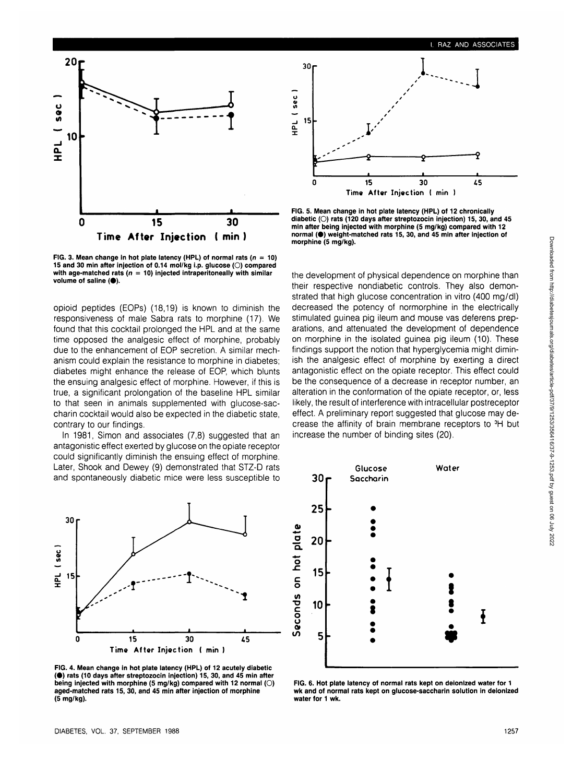

FIG. 3. Mean change in hot plate latency (HPL) of normal rats ( $n = 10$ ) 15 and 30 min after injection of 0.14 mol/kg i.p. glucose (O) compared with age-matched rats ( $n = 10$ ) injected intraperitoneally with similar volume of saline  $(①)$ .

opioid peptides (EOPs) (18,19) is known to diminish the responsiveness of male Sabra rats to morphine (17). We found that this cocktail prolonged the HPL and at the same time opposed the analgesic effect of morphine, probably due to the enhancement of EOP secretion. A similar mechanism could explain the resistance to morphine in diabetes; diabetes might enhance the release of EOP, which blunts the ensuing analgesic effect of morphine. However, if this is true, a significant prolongation of the baseline HPL similar to that seen in animals supplemented with glucose-saccharin cocktail would also be expected in the diabetic state, contrary to our findings.

In 1981, Simon and associates (7,8) suggested that an antagonistic effect exerted by glucose on the opiate receptor could significantly diminish the ensuing effect of morphine. Later, Shook and Dewey (9) demonstrated that STZ-D rats and spontaneously diabetic mice were less susceptible to



**FIG. 4. Mean change in hot plate latency (HPL) of 12 acutely diabetic (•) rats (10 days after streptozocin injection) 15, 30, and 45 min after being injected with morphine (5 mg/kg) compared with 12 normal (O) aged-matched rats 15, 30, and 45 min after injection of morphine (5 mg/kg).**



**FIG. 5. Mean change in hot plate latency (HPL) of 12 chronically diabetic (O) rats (120 days after streptozocin injection) 15, 30, and 45 min after being injected with morphine (5 mg/kg) compared with 12 normal (e) weight-matched rats 15, 30, and 45 min after injection of morphine (5 mg/kg).**

the development of physical dependence on morphine than their respective nondiabetic controls. They also demonstrated that high glucose concentration in vitro (400 mg/dl) decreased the potency of normorphine in the electrically stimulated guinea pig ileum and mouse vas deferens preparations, and attenuated the development of dependence on morphine in the isolated guinea pig ileum (10). These findings support the notion that hyperglycemia might diminish the analgesic effect of morphine by exerting a direct antagonistic effect on the opiate receptor. This effect could be the consequence of a decrease in receptor number, an alteration in the conformation of the opiate receptor, or, less likely, the result of interference with intracellular postreceptor effect. A preliminary report suggested that glucose may decrease the affinity of brain membrane receptors to 3H but increase the number of binding sites (20).



**FIG. 6. Hot plate latency of normal rats kept on deionized water for 1 wk and of normal rats kept on glucose-saccharin solution in deionized water for 1 wk.**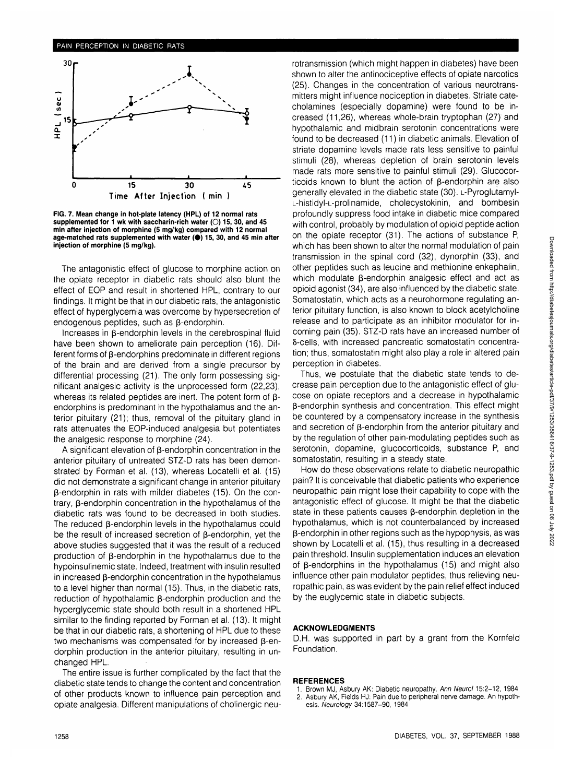

**FIG. 7. Mean change in hot-plate latency (HPL) of 12 normal rats supplemented for 1 wk with saccharin-rich water (O) 15, 30, and 45 min after injection of morphine (5 mg/kg) compared with 12 normal age-matched rats supplemented with water (•) 15, 30, and 45 min after injection of morphine (5 mg/kg).**

The antagonistic effect of glucose to morphine action on the opiate receptor in diabetic rats should also blunt the effect of EOP and result in shortened HPL, contrary to our findings. It might be that in our diabetic rats, the antagonistic effect of hyperglycemia was overcome by hypersecretion of endogenous peptides, such as  $\beta$ -endorphin.

Increases in  $\beta$ -endorphin levels in the cerebrospinal fluid have been shown to ameliorate pain perception (16). Different forms of  $\beta$ -endorphins predominate in different regions of the brain and are derived from a single precursor by differential processing (21). The only form possessing significant analgesic activity is the unprocessed form (22,23), whereas its related peptides are inert. The potent form of  $\beta$ endorphins is predominant in the hypothalamus and the anterior pituitary (21); thus, removal of the pituitary gland in rats attenuates the EOP-induced analgesia but potentiates the analgesic response to morphine (24).

A significant elevation of  $\beta$ -endorphin concentration in the anterior pituitary of untreated STZ-D rats has been demonstrated by Forman et al. (13), whereas Locatelli et al. (15) did not demonstrate a significant change in anterior pituitary  $\beta$ -endorphin in rats with milder diabetes (15). On the contrary,  $\beta$ -endorphin concentration in the hypothalamus of the diabetic rats was found to be decreased in both studies. The reduced  $\beta$ -endorphin levels in the hypothalamus could be the result of increased secretion of  $\beta$ -endorphin, yet the above studies suggested that it was the result of a reduced production of  $\beta$ -endorphin in the hypothalamus due to the hypoinsulinemic state. Indeed, treatment with insulin resulted in increased  $\beta$ -endorphin concentration in the hypothalamus to a level higher than normal (15). Thus, in the diabetic rats, reduction of hypothalamic  $\beta$ -endorphin production and the hyperglycemic state should both result in a shortened HPL similar to the finding reported by Forman et al. (13). It might be that in our diabetic rats, a shortening of HPL due to these two mechanisms was compensated for by increased  $\beta$ -endorphin production in the anterior pituitary, resulting in unchanged HPL.

The entire issue is further complicated by the fact that the diabetic state tends to change the content and concentration of other products known to influence pain perception and opiate analgesia. Different manipulations of cholinergic neurotransmission (which might happen in diabetes) have been shown to alter the antinociceptive effects of opiate narcotics (25). Changes in the concentration of various neurotransmitters might influence nociception in diabetes. Striate catecholamines (especially dopamine) were found to be increased (11,26), whereas whole-brain tryptophan (27) and hypothalamic and midbrain serotonin concentrations were found to be decreased (11) in diabetic animals. Elevation of striate dopamine levels made rats less sensitive to painful stimuli (28), whereas depletion of brain serotonin levels made rats more sensitive to painful stimuli (29). Glucocorticoids known to blunt the action of  $\beta$ -endorphin are also generally elevated in the diabetic state (30). L-Pyroglutamyl-L-histidyl-L-prolinamide, cholecystokinin, and bombesin profoundly suppress food intake in diabetic mice compared with control, probably by modulation of opioid peptide action on the opiate receptor (31). The actions of substance P, which has been shown to alter the normal modulation of pain transmission in the spinal cord (32), dynorphin (33), and other peptides such as leucine and methionine enkephalin, which modulate  $\beta$ -endorphin analgesic effect and act as opioid agonist (34), are also influenced by the diabetic state. Somatostatin, which acts as a neurohormone regulating anterior pituitary function, is also known to block acetylcholine release and to participate as an inhibitor modulator for incoming pain (35). STZ-D rats have an increased number of 8-cells, with increased pancreatic somatostatin concentration; thus, somatostatin might also play a role in altered pain perception in diabetes.

Thus, we postulate that the diabetic state tends to decrease pain perception due to the antagonistic effect of glucose on opiate receptors and a decrease in hypothalamic p-endorphin synthesis and concentration. This effect might be countered by a compensatory increase in the synthesis and secretion of  $\beta$ -endorphin from the anterior pituitary and by the regulation of other pain-modulating peptides such as serotonin, dopamine, glucocorticoids, substance P, and somatostatin, resulting in a steady state.

How do these observations relate to diabetic neuropathic pain? It is conceivable that diabetic patients who experience neuropathic pain might lose their capability to cope with the antagonistic effect of glucose. It might be that the diabetic state in these patients causes  $\beta$ -endorphin depletion in the hypothalamus, which is not counterbalanced by increased  $\beta$ -endorphin in other regions such as the hypophysis, as was shown by Locatelli et al. (15), thus resulting in a decreased pain threshold. Insulin supplementation induces an elevation of  $\beta$ -endorphins in the hypothalamus (15) and might also influence other pain modulator peptides, thus relieving neuropathic pain, as was evident by the pain relief effect induced by the euglycemic state in diabetic subjects.

#### **ACKNOWLEDGMENTS**

D.H. was supported in part by a grant from the Komfeld Foundation.

#### **REFERENCES**

- 1. Brown MJ, Asbury AK: Diabetic neuropathy. Ann Neurol 15:2-12, 1984
- 2. Asbury AK, Fields HJ: Pain due to peripheral nerve damage. An hypothesis. Neurology 34:1587-90, 1984